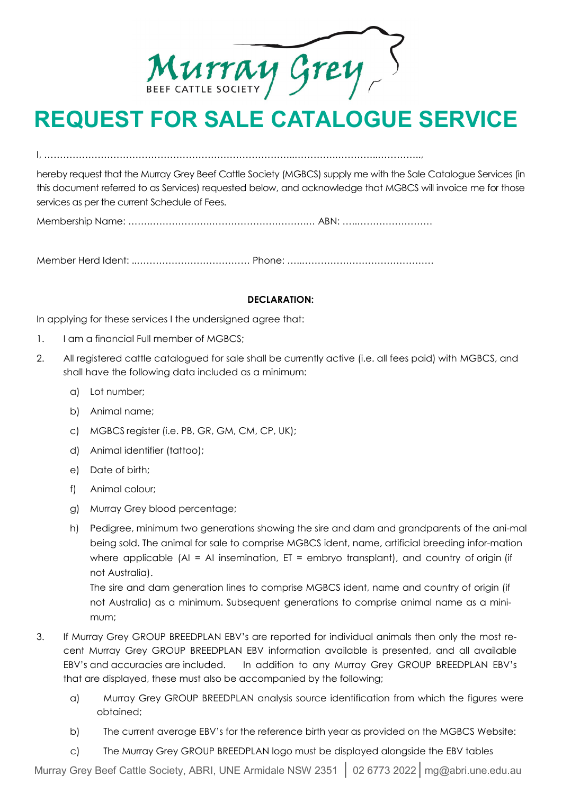Murray Grey

# **REQUEST FOR SALE CATALOGUE SERVICE**

I, ……………………………………………………………………..………….…………..…………..,

hereby request that the Murray Grey Beef Cattle Society (MGBCS) supply me with the Sale Catalogue Services (in this document referred to as Services) requested below, and acknowledge that MGBCS will invoice me for those services as per the current Schedule of Fees.

Membership Name: …….……………….………………………….… ABN: …..……………………

Member Herd Ident: ..……………………………… Phone: …..……………………………………

## **DECLARATION:**

In applying for these services I the undersigned agree that:

- 1. I am a financial Full member of MGBCS;
- 2. All registered cattle catalogued for sale shall be currently active (i.e. all fees paid) with MGBCS, and shall have the following data included as a minimum:
	- a) Lot number;
	- b) Animal name;
	- c) MGBCS register (i.e. PB, GR, GM, CM, CP, UK);
	- d) Animal identifier (tattoo);
	- e) Date of birth;
	- f) Animal colour;
	- g) Murray Grey blood percentage;
	- h) Pedigree, minimum two generations showing the sire and dam and grandparents of the ani-mal being sold. The animal for sale to comprise MGBCS ident, name, artificial breeding infor-mation where applicable  $(AI = AI$  insemination,  $ET =$  embryo transplant), and country of origin (if not Australia).

The sire and dam generation lines to comprise MGBCS ident, name and country of origin (if not Australia) as a minimum. Subsequent generations to comprise animal name as a minimum;

- 3. If Murray Grey GROUP BREEDPLAN EBV's are reported for individual animals then only the most recent Murray Grey GROUP BREEDPLAN EBV information available is presented, and all available EBV's and accuracies are included. In addition to any Murray Grey GROUP BREEDPLAN EBV's that are displayed, these must also be accompanied by the following;
	- a) Murray Grey GROUP BREEDPLAN analysis source identification from which the figures were obtained;
	- b) The current average EBV's for the reference birth year as provided on the MGBCS Website:
	- c) The Murray Grey GROUP BREEDPLAN logo must be displayed alongside the EBV tables

Murray Grey Beef Cattle Society, ABRI, UNE Armidale NSW 2351 **│** 02 6773 2022│mg@abri.une.edu.au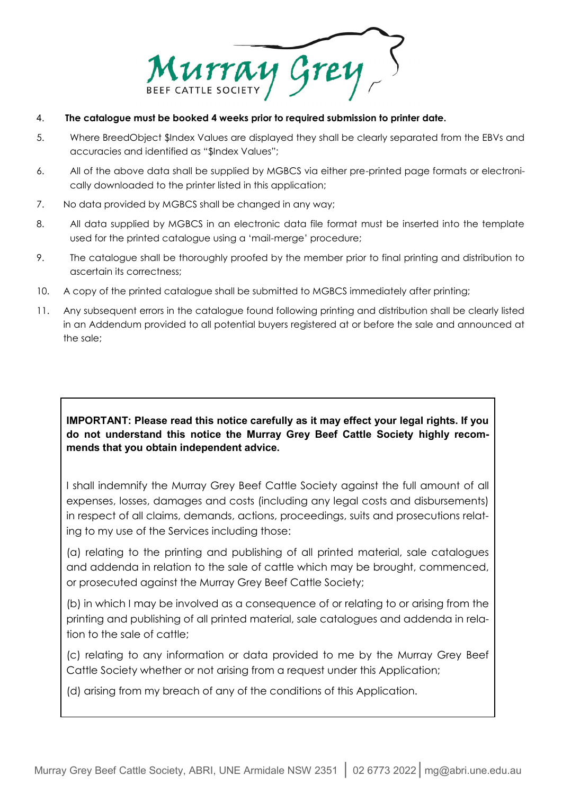Murray Grey

- 4. **The catalogue must be booked 4 weeks prior to required submission to printer date.**
- 5. Where BreedObject \$Index Values are displayed they shall be clearly separated from the EBVs and accuracies and identified as "\$Index Values";
- 6. All of the above data shall be supplied by MGBCS via either pre-printed page formats or electronically downloaded to the printer listed in this application;
- 7. No data provided by MGBCS shall be changed in any way;
- 8. All data supplied by MGBCS in an electronic data file format must be inserted into the template used for the printed catalogue using a 'mail-merge' procedure;
- 9. The catalogue shall be thoroughly proofed by the member prior to final printing and distribution to ascertain its correctness;
- 10. A copy of the printed catalogue shall be submitted to MGBCS immediately after printing;
- 11. Any subsequent errors in the catalogue found following printing and distribution shall be clearly listed in an Addendum provided to all potential buyers registered at or before the sale and announced at the sale;

# **IMPORTANT: Please read this notice carefully as it may effect your legal rights. If you do not understand this notice the Murray Grey Beef Cattle Society highly recommends that you obtain independent advice.**

I shall indemnify the Murray Grey Beef Cattle Society against the full amount of all expenses, losses, damages and costs (including any legal costs and disbursements) in respect of all claims, demands, actions, proceedings, suits and prosecutions relating to my use of the Services including those:

(a) relating to the printing and publishing of all printed material, sale catalogues and addenda in relation to the sale of cattle which may be brought, commenced, or prosecuted against the Murray Grey Beef Cattle Society;

(b) in which I may be involved as a consequence of or relating to or arising from the printing and publishing of all printed material, sale catalogues and addenda in relation to the sale of cattle;

(c) relating to any information or data provided to me by the Murray Grey Beef Cattle Society whether or not arising from a request under this Application;

(d) arising from my breach of any of the conditions of this Application.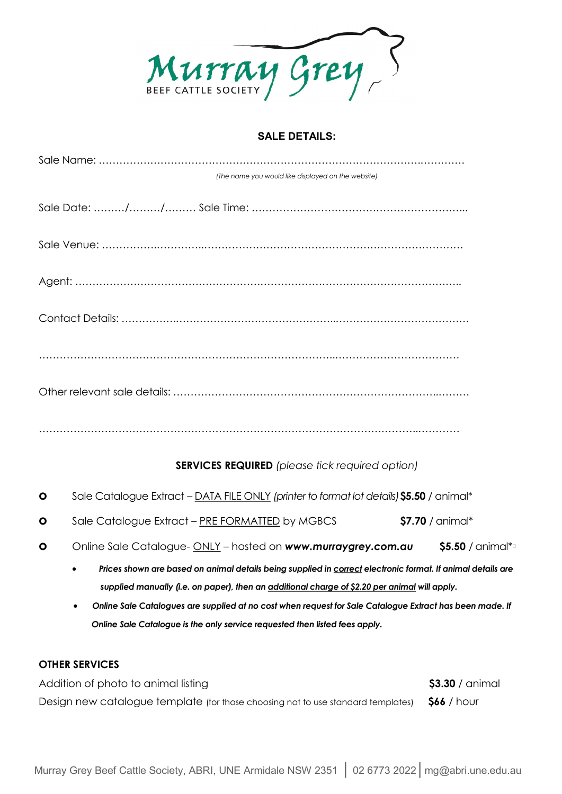

#### **SALE DETAILS:**

| (The name you would like displayed on the website)     |
|--------------------------------------------------------|
|                                                        |
|                                                        |
|                                                        |
|                                                        |
|                                                        |
|                                                        |
|                                                        |
| <b>SERVICES REQUIRED</b> (please tick required option) |

- **o** Sale Catalogue Extract DATA FILE ONLY *(printer to format lot details)***\$5.50** / animal\*
- **o** Sale Catalogue Extract PRE FORMATTED by MGBCS **\$7.70** / animal\*
- **o** Online Sale Catalogue- ONLY hosted on *www.murraygrey.com.au* **\$5.50** / animal\*†
	- *Prices shown are based on animal details being supplied in correct electronic format. If animal details are supplied manually (i.e. on paper), then an additional charge of \$2.20 per animal will apply.*
	- *Online Sale Catalogues are supplied at no cost when request for Sale Catalogue Extract has been made. If Online Sale Catalogue is the only service requested then listed fees apply.*

## **OTHER SERVICES**

Addition of photo to animal listing **\$3.30** / animal Design new catalogue template (for those choosing not to use standard templates) **\$66** / hour